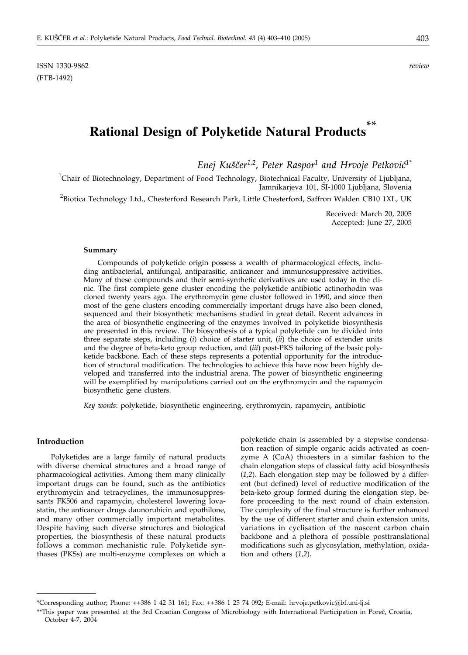ISSN 1330-9862 *review* (FTB-1492)

# **Rational Design of Polyketide Natural Products \*\***

Enej Kuščer<sup>1,2</sup>, Peter Raspor<sup>1</sup> and Hrvoje Petković<sup>1\*</sup>

<sup>1</sup>Chair of Biotechnology, Department of Food Technology, Biotechnical Faculty, University of Ljubljana, Jamnikarjeva 101, SI-1000 Ljubljana, Slovenia

 $^{2}$ Biotica Technology Ltd., Chesterford Research Park, Little Chesterford, Saffron Walden CB10 1XL, UK

Received: March 20, 2005 Accepted: June 27, 2005

#### **Summary**

Compounds of polyketide origin possess a wealth of pharmacological effects, including antibacterial, antifungal, antiparasitic, anticancer and immunosuppressive activities. Many of these compounds and their semi-synthetic derivatives are used today in the clinic. The first complete gene cluster encoding the polyketide antibiotic actinorhodin was cloned twenty years ago. The erythromycin gene cluster followed in 1990, and since then most of the gene clusters encoding commercially important drugs have also been cloned, sequenced and their biosynthetic mechanisms studied in great detail. Recent advances in the area of biosynthetic engineering of the enzymes involved in polyketide biosynthesis are presented in this review. The biosynthesis of a typical polyketide can be divided into three separate steps, including (*i*) choice of starter unit, (*ii*) the choice of extender units and the degree of beta-keto group reduction, and (*iii*) post-PKS tailoring of the basic polyketide backbone. Each of these steps represents a potential opportunity for the introduction of structural modification. The technologies to achieve this have now been highly developed and transferred into the industrial arena. The power of biosynthetic engineering will be exemplified by manipulations carried out on the erythromycin and the rapamycin biosynthetic gene clusters.

*Key words*: polyketide, biosynthetic engineering, erythromycin, rapamycin, antibiotic

#### **Introduction**

Polyketides are a large family of natural products with diverse chemical structures and a broad range of pharmacological activities. Among them many clinically important drugs can be found, such as the antibiotics erythromycin and tetracyclines, the immunosuppressants FK506 and rapamycin, cholesterol lowering lovastatin, the anticancer drugs daunorubicin and epothilone, and many other commercially important metabolites. Despite having such diverse structures and biological properties, the biosynthesis of these natural products follows a common mechanistic rule. Polyketide synthases (PKSs) are multi-enzyme complexes on which a polyketide chain is assembled by a stepwise condensation reaction of simple organic acids activated as coenzyme A (CoA) thioesters in a similar fashion to the chain elongation steps of classical fatty acid biosynthesis (*1,2*). Each elongation step may be followed by a different (but defined) level of reductive modification of the beta-keto group formed during the elongation step, before proceeding to the next round of chain extension. The complexity of the final structure is further enhanced by the use of different starter and chain extension units, variations in cyclisation of the nascent carbon chain backbone and a plethora of possible posttranslational modifications such as glycosylation, methylation, oxidation and others (*1,2*).

<sup>\*</sup>Corresponding author; Phone: ++386 1 42 31 161; Fax: ++386 1 25 74 092**;** E-mail: hrvoje.petkovic@bf.uni-lj.si

<sup>\*\*</sup>This paper was presented at the 3rd Croatian Congress of Microbiology with International Participation in Poreč, Croatia, October 4-7, 2004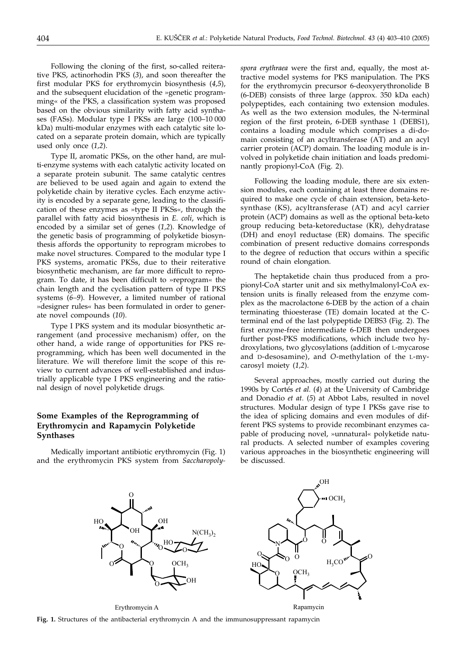Following the cloning of the first, so-called reiterative PKS, actinorhodin PKS (*3*), and soon thereafter the first modular PKS for erythromycin biosynthesis (*4,5*), and the subsequent elucidation of the »genetic programming« of the PKS, a classification system was proposed based on the obvious similarity with fatty acid synthases (FASs). Modular type I PKSs are large (100–10 000 kDa) multi-modular enzymes with each catalytic site located on a separate protein domain, which are typically used only once (*1,2*).

Type II, aromatic PKSs, on the other hand, are multi-enzyme systems with each catalytic activity located on a separate protein subunit. The same catalytic centres are believed to be used again and again to extend the polyketide chain by iterative cycles. Each enzyme activity is encoded by a separate gene, leading to the classification of these enzymes as »type II PKSs«, through the parallel with fatty acid biosynthesis in *E. coli*, which is encoded by a similar set of genes (*1,2*). Knowledge of the genetic basis of programming of polyketide biosynthesis affords the opportunity to reprogram microbes to make novel structures. Compared to the modular type I PKS systems, aromatic PKSs, due to their reiterative biosynthetic mechanism, are far more difficult to reprogram. To date, it has been difficult to »reprogram« the chain length and the cyclisation pattern of type II PKS systems (*6–9*). However, a limited number of rational »designer rules« has been formulated in order to generate novel compounds (*10*).

Type I PKS system and its modular biosynthetic arrangement (and processive mechanism) offer, on the other hand, a wide range of opportunities for PKS reprogramming, which has been well documented in the literature. We will therefore limit the scope of this review to current advances of well-established and industrially applicable type I PKS engineering and the rational design of novel polyketide drugs.

## **Some Examples of the Reprogramming of Erythromycin and Rapamycin Polyketide Synthases**

Medically important antibiotic erythromycin (Fig. 1) and the erythromycin PKS system from *Saccharopoly-* *spora erythraea* were the first and, equally, the most attractive model systems for PKS manipulation. The PKS for the erythromycin precursor 6-deoxyerythronolide B (6-DEB) consists of three large (approx. 350 kDa each) polypeptides, each containing two extension modules. As well as the two extension modules, the N-terminal region of the first protein, 6-DEB synthase 1 (DEBS1), contains a loading module which comprises a di-domain consisting of an acyltransferase (AT) and an acyl carrier protein (ACP) domain. The loading module is involved in polyketide chain initiation and loads predominantly propionyl-CoA (Fig. 2).

Following the loading module, there are six extension modules, each containing at least three domains required to make one cycle of chain extension, beta-ketosynthase (KS), acyltransferase (AT) and acyl carrier protein (ACP) domains as well as the optional beta-keto group reducing beta-ketoreductase (KR), dehydratase (DH) and enoyl reductase (ER) domains. The specific combination of present reductive domains corresponds to the degree of reduction that occurs within a specific round of chain elongation.

The heptaketide chain thus produced from a propionyl-CoA starter unit and six methylmalonyl-CoA extension units is finally released from the enzyme complex as the macrolactone 6-DEB by the action of a chain terminating thioesterase (TE) domain located at the Cterminal end of the last polypeptide DEBS3 (Fig. 2). The first enzyme-free intermediate 6-DEB then undergoes further post-PKS modifications, which include two hydroxylations, two glycosylations (addition of L-mycarose and D-desosamine), and *O*-methylation of the L-mycarosyl moiety (*1,2*).

Several approaches, mostly carried out during the 1990s by Cortés *et al.* (*4*) at the University of Cambridge and Donadio *et at.* (*5*) at Abbot Labs, resulted in novel structures. Modular design of type I PKSs gave rise to the idea of splicing domains and even modules of different PKS systems to provide recombinant enzymes capable of producing novel, »unnatural« polyketide natural products. A selected number of examples covering various approaches in the biosynthetic engineering will be discussed.



**Fig. 1.** Structures of the antibacterial erythromycin A and the immunosuppressant rapamycin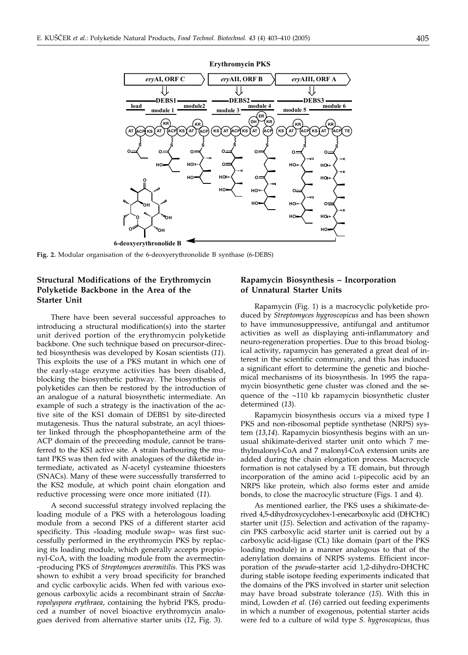

**6-deoxyerythronolide B**

**O**

**Fig. 2.** Modular organisation of the 6-deoxyerythronolide B synthase (6-DEBS)

**OH**

## **Structural Modifications of the Erythromycin Polyketide Backbone in the Area of the Starter Unit**

There have been several successful approaches to introducing a structural modification(s) into the starter unit derived portion of the erythromycin polyketide backbone. One such technique based on precursor-directed biosynthesis was developed by Kosan scientists (*11*). This exploits the use of a PKS mutant in which one of the early-stage enzyme activities has been disabled, blocking the biosynthetic pathway. The biosynthesis of polyketides can then be restored by the introduction of an analogue of a natural biosynthetic intermediate. An example of such a strategy is the inactivation of the active site of the KS1 domain of DEBS1 by site-directed mutagenesis. Thus the natural substrate, an acyl thioester linked through the phosphopantetheine arm of the ACP domain of the preceeding module, cannot be transferred to the KS1 active site. A strain harbouring the mutant PKS was then fed with analogues of the diketide intermediate, activated as *N*-acetyl cysteamine thioesters (SNACs). Many of these were successfully transferred to the KS2 module, at which point chain elongation and reductive processing were once more initiated (*11*).

A second successful strategy involved replacing the loading module of a PKS with a heterologous loading module from a second PKS of a different starter acid specificity. This »loading module swap« was first successfully performed in the erythromycin PKS by replacing its loading module, which generally accepts propionyl-CoA, with the loading module from the avermectin- -producing PKS of *Streptomyces avermitilis*. This PKS was shown to exhibit a very broad specificity for branched and cyclic carboxylic acids. When fed with various exogenous carboxylic acids a recombinant strain of *Saccharopolyspora erythraea*, containing the hybrid PKS, produced a number of novel bioactive erythromycin analogues derived from alternative starter units (*12*, Fig. 3).

### **Rapamycin Biosynthesis – Incorporation of Unnatural Starter Units**

**HO**

Rapamycin (Fig. 1) is a macrocyclic polyketide produced by *Streptomyces hygroscopicus* and has been shown to have immunosuppressive, antifungal and antitumor activities as well as displaying anti-inflammatory and neuro-regeneration properties. Due to this broad biological activity, rapamycin has generated a great deal of interest in the scientific community, and this has induced a significant effort to determine the genetic and biochemical mechanisms of its biosynthesis. In 1995 the rapamycin biosynthetic gene cluster was cloned and the sequence of the  $~110$  kb rapamycin biosynthetic cluster determined (*13*).

Rapamycin biosynthesis occurs via a mixed type I PKS and non-ribosomal peptide synthetase (NRPS) system (*13,14*). Rapamycin biosynthesis begins with an unusual shikimate-derived starter unit onto which 7 methylmalonyl-CoA and 7 malonyl-CoA extension units are added during the chain elongation process. Macrocycle formation is not catalysed by a TE domain, but through incorporation of the amino acid L-pipecolic acid by an NRPS like protein, which also forms ester and amide bonds, to close the macrocylic structure (Figs. 1 and 4).

As mentioned earlier, the PKS uses a shikimate-derived 4,5-dihydroxycyclohex-1-enecarboxylic acid (DHCHC) starter unit (*15*). Selection and activation of the rapamycin PKS carboxylic acid starter unit is carried out by a carboxylic acid-ligase (CL) like domain (part of the PKS loading module) in a manner analogous to that of the adenylation domains of NRPS systems. Efficient incorporation of the *pseudo*-starter acid 1,2-dihydro-DHCHC during stable isotope feeding experiments indicated that the domains of the PKS involved in starter unit selection may have broad substrate tolerance (*15*). With this in mind, Lowden *et al.* (*16*) carried out feeding experiments in which a number of exogenous, potential starter acids were fed to a culture of wild type *S. hygroscopicus*, thus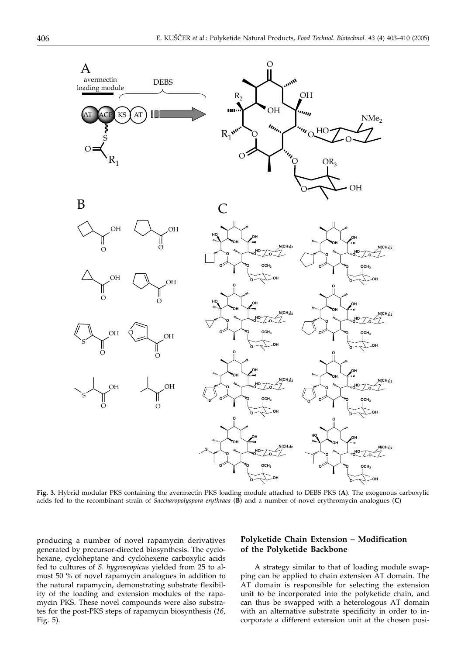

**Fig. 3.** Hybrid modular PKS containing the avermectin PKS loading module attached to DEBS PKS (**A**). The exogenous carboxylic acids fed to the recombinant strain of *Saccharopolyspora erythraea* (**B**) and a number of novel erythromycin analogues (**C**)

producing a number of novel rapamycin derivatives generated by precursor-directed biosynthesis. The cyclohexane, cycloheptane and cyclohexene carboxylic acids fed to cultures of *S. hygroscopicus* yielded from 25 to almost 50 % of novel rapamycin analogues in addition to the natural rapamycin, demonstrating substrate flexibility of the loading and extension modules of the rapamycin PKS. These novel compounds were also substrates for the post-PKS steps of rapamycin biosynthesis (*16*, Fig. 5).

## **Polyketide Chain Extension – Modification of the Polyketide Backbone**

A strategy similar to that of loading module swapping can be applied to chain extension AT domain. The AT domain is responsible for selecting the extension unit to be incorporated into the polyketide chain, and can thus be swapped with a heterologous AT domain with an alternative substrate specificity in order to incorporate a different extension unit at the chosen posi-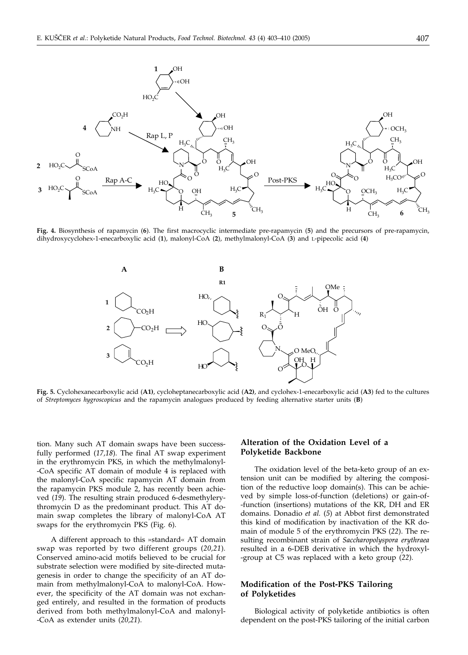

**Fig. 4.** Biosynthesis of rapamycin (**6**). The first macrocyclic intermediate pre-rapamycin (**5**) and the precursors of pre-rapamycin, dihydroxycyclohex-1-enecarboxylic acid (**1**), malonyl-CoA (**2**), methylmalonyl-CoA (**3**) and L-pipecolic acid (**4**)



**Fig. 5.** Cyclohexanecarboxylic acid (**A1)**, cycloheptanecarboxylic acid (**A2)**, and cyclohex-1-enecarboxylic acid (**A3**) fed to the cultures of *Streptomyces hygroscopicus* and the rapamycin analogues produced by feeding alternative starter units (**B**)

tion. Many such AT domain swaps have been successfully performed (*17,18*). The final AT swap experiment in the erythromycin PKS, in which the methylmalonyl- -CoA specific AT domain of module 4 is replaced with the malonyl-CoA specific rapamycin AT domain from the rapamycin PKS module 2, has recently been achieved (*19*). The resulting strain produced 6-desmethylerythromycin D as the predominant product. This AT domain swap completes the library of malonyl-CoA AT swaps for the erythromycin PKS (Fig. 6).

A different approach to this »standard« AT domain swap was reported by two different groups (*20,21*)*.* Conserved amino-acid motifs believed to be crucial for substrate selection were modified by site-directed mutagenesis in order to change the specificity of an AT domain from methylmalonyl-CoA to malonyl-CoA. However, the specificity of the AT domain was not exchanged entirely, and resulted in the formation of products derived from both methylmalonyl-CoA and malonyl- -CoA as extender units (*20,21*).

#### **Alteration of the Oxidation Level of a Polyketide Backbone**

The oxidation level of the beta-keto group of an extension unit can be modified by altering the composition of the reductive loop domain(s). This can be achieved by simple loss-of-function (deletions) or gain-of- -function (insertions) mutations of the KR, DH and ER domains. Donadio *et al.* (*5*) at Abbot first demonstrated this kind of modification by inactivation of the KR domain of module 5 of the erythromycin PKS (*22*). The resulting recombinant strain of *Saccharopolyspora erythraea* resulted in a 6-DEB derivative in which the hydroxyl- -group at C5 was replaced with a keto group (*22*).

## **Modification of the Post-PKS Tailoring of Polyketides**

Biological activity of polyketide antibiotics is often dependent on the post-PKS tailoring of the initial carbon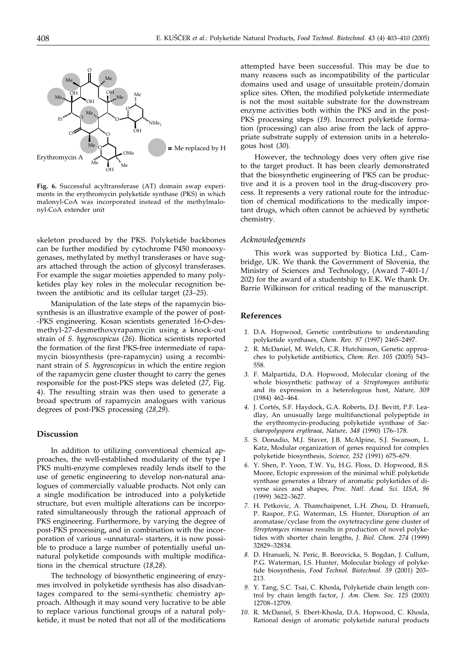

**Fig. 6.** Successful acyltransferase (AT) domain swap experiments in the erythromycin polyketide synthase (PKS) in which malonyl-CoA was incorporated instead of the methylmalonyl-CoA extender unit

skeleton produced by the PKS. Polyketide backbones can be further modified by cytochrome P450 monooxygenases, methylated by methyl transferases or have sugars attached through the action of glycosyl transferases. For example the sugar moieties appended to many polyketides play key roles in the molecular recognition between the antibiotic and its cellular target (*23–25*).

Manipulation of the late steps of the rapamycin biosynthesis is an illustrative example of the power of post- -PKS engineering. Kosan scientists generated 16-O-desmethyl-27-desmethoxyrapamycin using a knock-out strain of *S. hygroscopicus* (*26*). Biotica scientists reported the formation of the first PKS-free intermediate of rapamycin biosynthesis (pre-rapamycin) using a recombinant strain of *S. hygroscopicus* in which the entire region of the rapamycin gene cluster thought to carry the genes responsible for the post-PKS steps was deleted (*27*, Fig. 4). The resulting strain was then used to generate a broad spectrum of rapamycin analogues with various degrees of post-PKS processing (*28,29*).

#### **Discussion**

In addition to utilizing conventional chemical approaches, the well-established modularity of the type I PKS multi-enzyme complexes readily lends itself to the use of genetic engineering to develop non-natural analogues of commercially valuable products. Not only can a single modification be introduced into a polyketide structure, but even multiple alterations can be incorporated simultaneously through the rational approach of PKS engineering. Furthermore, by varying the degree of post-PKS processing, and in combination with the incorporation of various »unnatural« starters, it is now possible to produce a large number of potentially useful unnatural polyketide compounds with multiple modifications in the chemical structure (*18,28*).

The technology of biosynthetic engineering of enzymes involved in polyketide synthesis has also disadvantages compared to the semi-synthetic chemistry approach. Although it may sound very lucrative to be able to replace various functional groups of a natural polyketide, it must be noted that not all of the modifications attempted have been successful. This may be due to many reasons such as incompatibility of the particular domains used and usage of unsuitable protein/domain splice sites. Often, the modified polyketide intermediate is not the most suitable substrate for the downstream enzyme activities both within the PKS and in the post-PKS processing steps (*19*). Incorrect polyketide formation (processing) can also arise from the lack of appropriate substrate supply of extension units in a heterologous host (*30*).

However, the technology does very often give rise to the target product. It has been clearly demonstrated that the biosynthetic engineering of PKS can be productive and it is a proven tool in the drug-discovery process. It represents a very rational route for the introduction of chemical modifications to the medically important drugs, which often cannot be achieved by synthetic chemistry.

#### *Acknowledgements*

This work was supported by Biotica Ltd., Cambridge, UK. We thank the Government of Slovenia, the Ministry of Sciences and Technology, (Award 7-401-1/ 202) for the award of a studentship to E.K. We thank Dr. Barrie Wilkinson for critical reading of the manuscript.

#### **References**

- *1.* D.A. Hopwood, Genetic contributions to understanding polyketide synthases, *Chem. Rev. 97* (1997) 2465–2497.
- *2.* R. McDaniel, M. Welch, C.R. Hutchinson, Genetic approaches to polyketide antibiotics, *Chem. Rev. 105* (2005) 543– 558.
- *3.* F. Malpartida, D.A. Hopwood, Molecular cloning of the whole biosynthetic pathway of a *Streptomyces antibiotic* and its expression in a heterologous host, *Nature, 309* (1984) 462–464.
- *4.* J. Cortés, S.F. Haydock, G.A. Roberts, D.J. Bevitt, P.F. Leadlay, An unusually large multifunctional polypeptide in the erythromycin-producing polyketide synthase of *Saccharopolyspora erythraea*, *Nature, 348* (1990) 176–178.
- *5.* S. Donadio, M.J. Staver, J.B. McAlpine, S.J. Swanson, L. Katz, Modular organization of genes required for complex polyketide biosynthesis, *Science, 252* (1991) 675–679.
- *6.* Y. Shen, P. Yoon, T.W. Yu, H.G. Floss, D. Hopwood, B.S. Moore, Ectopic expression of the minimal whiE polyketide synthase generates a library of aromatic polyketides of diverse sizes and shapes, *Proc. Natl. Acad. Sci. USA, 96* (1999) 3622–3627.
- *7.* H. Petkovic, A. Thamchaipenet, L.H. Zhou, D. Hranueli, P. Raspor, P.G. Waterman, I.S. Hunter, Disruption of an aromatase/cyclase from the oxytetracycline gene cluster of *Streptomyces rimosus* results in production of novel polyketides with shorter chain lengths, *J. Biol. Chem. 274* (1999) 32829–32834.
- *8.* D. Hranueli, N. Peric, B. Borovicka, S. Bogdan, J. Cullum, P.G. Waterman, I.S. Hunter, Molecular biology of polyketide biosynthesis, *Food Technol. Biotechnol. 39* (2001) 203– 213.
- *9.* Y. Tang, S.C. Tsai, C. Khosla**,** Polyketide chain length control by chain length factor, *J. Am. Chem. Soc. 125* (2003) 12708–12709.
- *10.* R. McDaniel, S. Ebert-Khosla, D.A. Hopwood, C. Khosla, Rational design of aromatic polyketide natural products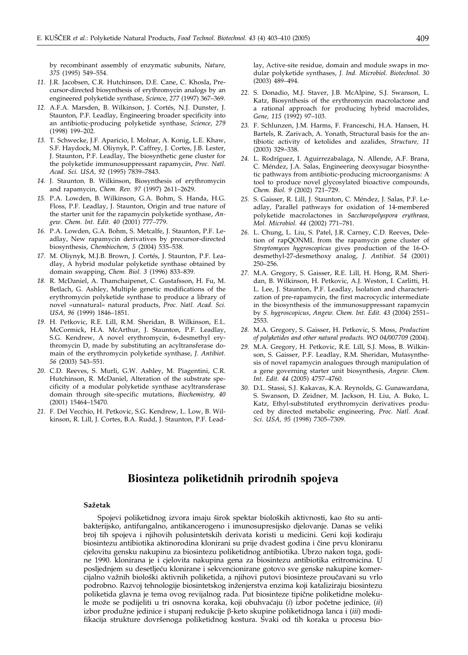by recombinant assembly of enzymatic subunits, *Nature, 375* (1995) 549–554.

- *11.* J.R. Jacobsen, C.R. Hutchinson, D.E. Cane, C. Khosla, Precursor-directed biosynthesis of erythromycin analogs by an engineered polyketide synthase, *Scienc*e, *277* (1997) 367–369.
- *12.* A.F.A. Marsden, B. Wilkinson, J. Cortés, N.J. Dunster, J. Staunton, P.F. Leadlay, Engineering broader specificity into an antibiotic-producing polyketide synthase, *Science, 279* (1998) 199–202.
- *13.* T. Schwecke, J.F. Aparicio, I. Molnar, A. Konig, L.E. Khaw, S.F. Haydock, M. Oliynyk, P. Caffrey, J. Cortes, J.B. Lester, J. Staunton, P.F. Leadlay, The biosynthetic gene cluster for the polyketide immunosuppressant rapamycin, *Proc. Natl. Acad. Sci. USA, 92* (1995) 7839–7843.
- *14.* J. Staunton, B. Wilkinson, Biosynthesis of erythromycin and rapamycin, *Chem. Rev. 97* (1997) 2611–2629.
- *15.* P.A. Lowden, B. Wilkinson, G.A. Bohm, S. Handa, H.G. Floss, P.F. Leadlay, J. Staunton, Origin and true nature of the starter unit for the rapamycin polyketide synthase, *Angew. Chem. Int. Edit. 40* (2001) 777–779.
- *16.* P.A. Lowden, G.A. Bohm, S. Metcalfe, J. Staunton, P.F. Leadlay, New rapamycin derivatives by precursor-directed biosynthesis, *Chembiochem, 5* (2004) 535–538.
- *17.* M. Oliynyk, M.J.B. Brown, J. Cortés, J. Staunton, P.F. Leadlay, A hybrid modular polyketide synthase obtained by domain swapping, *Chem. Biol. 3* (1996) 833–839.
- *18.* R. McDaniel, A. Thamchaipenet, C. Gustafsson, H. Fu, M. Betlach, G. Ashley, Multiple genetic modifications of the erythromycin polyketide synthase to produce a library of novel »unnatural« natural products, *Proc. Natl. Acad. Sci. USA, 96* (1999) 1846–1851.
- *19.* H. Petkovic, R.E. Lill, R.M. Sheridan, B. Wilkinson, E.L. McCormick, H.A. McArthur, J. Staunton, P.F. Leadlay, S.G. Kendrew, A novel erythromycin, 6-desmethyl erythromycin D, made by substituting an acyltransferase domain of the erythromycin polyketide synthase, *J. Antibiot. 56* (2003) 543–551.
- *20.* C.D. Reeves, S. Murli, G.W. Ashley, M. Piagentini, C.R. Hutchinson, R. McDaniel, Alteration of the substrate specificity of a modular polyketide synthase acyltransferase domain through site-specific mutations, *Biochemistry, 40* (2001) 15464–15470.
- *21.* F. Del Vecchio, H. Petkovic, S.G. Kendrew, L. Low, B. Wilkinson, R. Lill, J. Cortes, B.A. Rudd, J. Staunton, P.F. Lead-

lay, Active-site residue, domain and module swaps in modular polyketide synthases, *J. Ind. Microbiol. Biotechnol. 30* (2003) 489–494.

- *22.* S. Donadio, M.J. Staver, J.B. McAlpine, S.J. Swanson, L. Katz, Biosynthesis of the erythromycin macrolactone and a rational approach for producing hybrid macrolides, *Gene, 115* (1992) 97–103.
- *23.* F. Schlunzen, J.M. Harms, F. Franceschi, H.A. Hansen, H. Bartels, R. Zarivach, A. Yonath, Structural basis for the antibiotic activity of ketolides and azalides, *Structure, 11* (2003) 329–338.
- *24.* L. Rodríguez, I. Aguirrezabalaga, N. Allende, A.F. Brana, C. Méndez, J.A. Salas, Engineering deoxysugar biosynthetic pathways from antibiotic-producing microorganisms: A tool to produce novel glycosylated bioactive compounds, *Chem. Biol. 9* (2002) 721–729.
- *25.* S. Gaisser, R. Lill, J. Staunton, C. Méndez, J. Salas, P.F. Leadlay, Parallel pathways for oxidation of 14-membered polyketide macrolactones in *Saccharopolyspora erythraea*, *Mol. Microbiol. 44* (2002) 771–781.
- *26.* L. Chung, L. Liu, S. Patel, J.R. Carney, C.D. Reeves, Deletion of rapQONML from the rapamycin gene cluster of *Streptomyces hygroscopicus* gives production of the 16-Odesmethyl-27-desmethoxy analog, *J. Antibiot. 54* (2001) 250–256.
- *27.* M.A. Gregory, S. Gaisser, R.E. Lill, H. Hong, R.M. Sheridan, B. Wilkinson, H. Petkovic, A.J. Weston, I. Carlitti, H. L. Lee, J. Staunton, P.F. Leadlay, Isolation and characterization of pre-rapamycin, the first macrocyclic intermediate in the biosynthesis of the immunosuppressant rapamycin by *S. hygroscopicus*, *Angew. Chem. Int. Edit. 43* (2004) 2551– 2553.
- *28.* M.A. Gregory, S. Gaisser, H. Petkovic, S. Moss, *Production of polyketides and other natural products. WO 04/007709* (2004).
- *29.* M.A. Gregory, H. Petkovic, R.E. Lill, S.J. Moss, B. Wilkinson, S. Gaisser, P.F. Leadlay, R.M. Sheridan, Mutasynthesis of novel rapamycin analogues through manipulation of a gene governing starter unit biosynthesis, *Angew. Chem. Int. Edit. 44* (2005) 4757–4760.
- *30.* D.L. Stassi, S.J. Kakavas, K.A. Reynolds, G. Gunawardana, S. Swanson, D. Zeidner, M. Jackson, H. Liu, A. Buko, L. Katz, Ethyl-substituted erythromycin derivatives produced by directed metabolic engineering, *Proc. Natl. Acad. Sci. USA, 95* (1998) 7305–7309.

## **Biosinteza poliketidnih prirodnih spojeva**

#### **Sa`etak**

Spojevi poliketidnog izvora imaju širok spektar bioloških aktivnosti, kao što su antibakterijsko, antifungalno, antikancerogeno i imunosupresijsko djelovanje. Danas se veliki broj tih spojeva i njihovih polusintetskih derivata koristi u medicini. Geni koji kodiraju biosintezu antibiotika aktinorodina klonirani su prije dvadest godina i čine prvu kloniranu cjelovitu gensku nakupinu za biosintezu poliketidnog antibiotika. Ubrzo nakon toga, godine 1990. klonirana je i cjelovita nakupina gena za biosintezu antibiotika eritromicina. U posljednjem su desetljeću klonirane i sekvencionirane gotovo sve genske nakupine komercijalno važnih biološki aktivnih poliketida, a njihovi putovi biosinteze proučavani su vrlo podrobno. Razvoj tehnologije biosintetskog in`enjerstva enzima koji kataliziraju biosintezu poliketida glavna je tema ovog revijalnog rada. Put biosinteze tipične poliketidne molekule može se podijeliti u tri osnovna koraka, koji obuhvaćaju (*i*) izbor početne jedinice, (*ii*) izbor produžne jedinice i stupanj redukcije  $\beta$ -keto skupine poliketidnoga lanca i *(iii)* modifikacija strukture dovršenoga poliketidnog kostura. Svaki od tih koraka u procesu bio